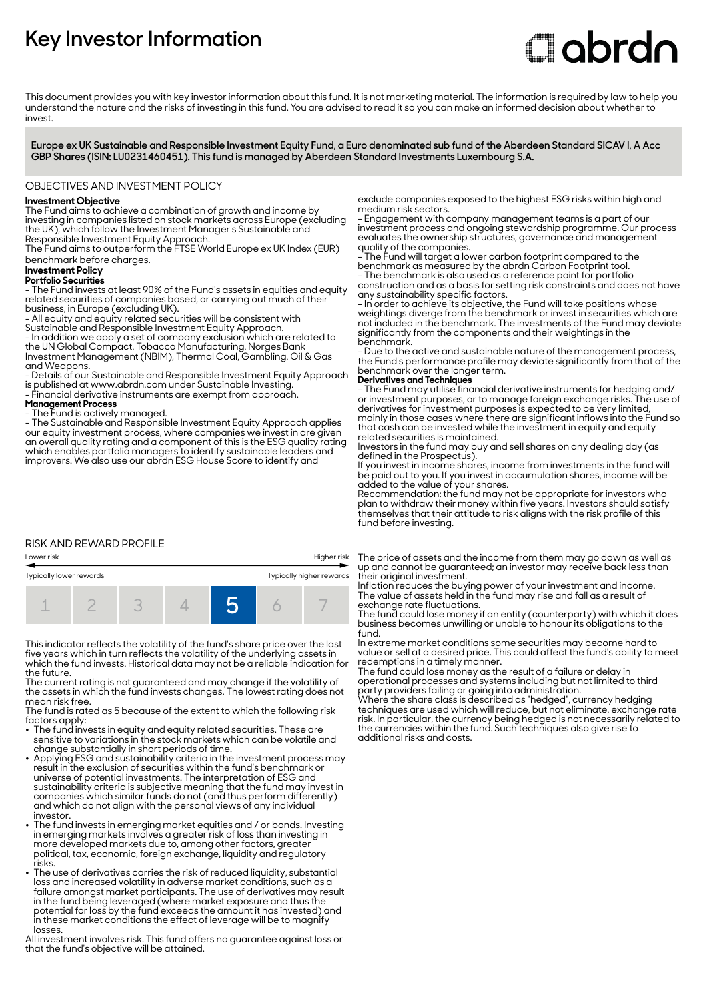# **Key Investor Information**

# **Clobrdn**

This document provides you with key investor information about this fund. It is not marketing material. The information is required by law to help you understand the nature and the risks of investing in this fund. You are advised to read it so you can make an informed decision about whether to invest

**Europe ex UK Sustainable and Responsible Investment Equity Fund, a Euro denominated sub fund of the Aberdeen Standard SICAV I, A Acc GBP Shares (ISIN: LU0231460451). This fund is managed by Aberdeen Standard Investments Luxembourg S.A.**

#### OBJECTIVES AND INVESTMENT POLICY

#### **Investment Objective**

The Fund aims to achieve a combination of growth and income by investing in companies listed on stock markets across Europe (excluding the UK), which follow the Investment Manager's Sustainable and

Responsible Investment Equity Approach. The Fund aims to outperform the FTSE World Europe ex UK Index (EUR) benchmark before charges.

### **Investment Policy**

**Portfolio Securities**

- The Fund invests at least 90% of the Fund's assets in equities and equity related securities of companies based, or carrying out much of their business, in Europe (excluding UK).

- All equity and equity related securities will be consistent with

Sustainable and Responsible Investment Equity Approach.

- In addition we apply a set of company exclusion which are related to the UN Global Compact, Tobacco Manufacturing, Norges Bank Investment Management (NBIM), Thermal Coal, Gambling, Oil & Gas and Weapons.

- Details of our Sustainable and Responsible Investment Equity Approach is published at www.abrdn.com under Sustainable Investing.

- Financial derivative instruments are exempt from approach.

# **Management Process**

- The Fund is actively managed.

- The Sustainable and Responsible Investment Equity Approach applies our equity investment process, where companies we invest in are given an overall quality rating and a component of this is the ESG quality rating which enables portfolio managers to identify sustainable leaders and improvers. We also use our abrdn ESG House Score to identify and

#### RISK AND REWARD PROFILE

Lower risk Higher risk



This indicator reflects the volatility of the fund's share price over the last five years which in turn reflects the volatility of the underlying assets in which the fund invests. Historical data may not be a reliable indication for the future.

The current rating is not guaranteed and may change if the volatility of the assets in which the fund invests changes. The lowest rating does not mean risk free.

The fund is rated as 5 because of the extent to which the following risk factors apply:

- $\bullet~$  The fund invests in equity and equity related securities. These are sensitive to variations in the stock markets which can be volatile and
- change substantially in short periods of time. 2 Applying ESG and sustainability criteria in the investment process may result in the exclusion of securities within the fund's benchmark or universe of potential investments. The interpretation of ESG and sustainability criteria is subjective meaning that the fund may invest in companies which similar funds do not (and thus perform differently) and which do not align with the personal views of any individual investor.
- The fund invests in emerging market equities and / or bonds. Investing in emerging markets involves a greater risk of loss than investing in more developed markets due to, among other factors, greater political, tax, economic, foreign exchange, liquidity and regulatory risks.
- The use of derivatives carries the risk of reduced liquidity, substantial loss and increased volatility in adverse market conditions, such as a failure amongst market participants. The use of derivatives may result in the fund being leveraged (where market exposure and thus the potential for loss by the fund exceeds the amount it has invested) and in these market conditions the effect of leverage will be to magnify losses.

All investment involves risk. This fund offers no guarantee against loss or that the fund's objective will be attained.

exclude companies exposed to the highest ESG risks within high and medium risk sectors.

- Engagement with company management teams is a part of our investment process and ongoing stewardship programme. Our process evaluates the ownership structures, governance and management quality of the companies.

- The Fund will target a lower carbon footprint compared to the benchmark as measured by the abrdn Carbon Footprint tool. - The benchmark is also used as a reference point for portfolio

construction and as a basis for setting risk constraints and does not have any sustainability specific factors.

- In order to achieve its objective, the Fund will take positions whose weightings diverge from the benchmark or invest in securities which are not included in the benchmark. The investments of the Fund may deviate significantly from the components and their weightings in the benchmark.

- Due to the active and sustainable nature of the management process, the Fund's performance profile may deviate significantly from that of the benchmark over the longer term.

#### **Derivatives and Techniques**

- The Fund may utilise financial derivative instruments for hedging and/ or investment purposes, or to manage foreign exchange risks. The use of derivatives for investment purposes is expected to be very limited, mainly in those cases where there are significant inflows into the Fund so that cash can be invested while the investment in equity and equity related securities is maintained.

Investors in the fund may buy and sell shares on any dealing day (as defined in the Prospectus).

If you invest in income shares, income from investments in the fund will be paid out to you. If you invest in accumulation shares, income will be added to the value of your shares.

Recommendation: the fund may not be appropriate for investors who plan to withdraw their money within five years. Investors should satisfy themselves that their attitude to risk aligns with the risk profile of this fund before investing.

The price of assets and the income from them may go down as well as up and cannot be guaranteed; an investor may receive back less than their original investment.

Inflation reduces the buying power of your investment and income. The value of assets held in the fund may rise and fall as a result of exchange rate fluctuations.

The fund could lose money if an entity (counterparty) with which it does business becomes unwilling or unable to honour its obligations to the fund.

In extreme market conditions some securities may become hard to value or sell at a desired price. This could affect the fund's ability to meet redemptions in a timely manner.

The fund could lose money as the result of a failure or delay in operational processes and systems including but not limited to third party providers failing or going into administration.

Where the share class is described as "hedged", currency hedging techniques are used which will reduce, but not eliminate, exchange rate risk. In particular, the currency being hedged is not necessarily related to the currencies within the fund. Such techniques also give rise to additional risks and costs.